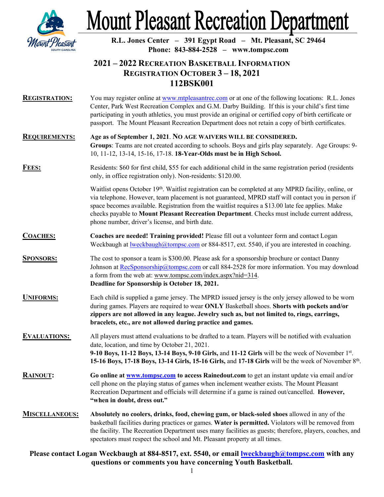

# **Mount Pleasant Recreation Department**

**R.L. Jones Center – 391 Egypt Road – Mt. Pleasant, SC 29464 Phone: 843-884-2528 – www.tompsc.com**

## **2021 – 2022 RECREATION BASKETBALL INFORMATION REGISTRATION OCTOBER 3 – 18, 2021 112BSK001**

**REGISTRATION:** You may register online a[t www.mtpleasantrec.com](http://www.mtpleasantrec.com/) or at one of the following locations: R.L. Jones Center, Park West Recreation Complex and G.M. Darby Building. If this is your child's first time participating in youth athletics, you must provide an original or certified copy of birth certificate or passport. The Mount Pleasant Recreation Department does not retain a copy of birth certificates.

#### **REQUIREMENTS: Age as of September 1, 2021**. **NO AGE WAIVERS WILL BE CONSIDERED. Groups**: Teams are not created according to schools. Boys and girls play separately. Age Groups: 9- 10, 11-12, 13-14, 15-16, 17-18. **18-Year-Olds must be in High School.**

#### **FEES:** Residents: \$60 for first child, \$55 for each additional child in the same registration period (residents only, in office registration only). Non-residents: \$120.00.

Waitlist opens October 19<sup>th</sup>. Waitlist registration can be completed at any MPRD facility, online, or via telephone. However, team placement is not guaranteed, MPRD staff will contact you in person if space becomes available. Registration from the waitlist requires a \$13.00 late fee applies. Make checks payable to **Mount Pleasant Recreation Department**. Checks must include current address, phone number, driver's license, and birth date.

### **COACHES: Coaches are needed! Training provided!** Please fill out a volunteer form and contact Logan Weckbaugh at <u>lweckbaugh@tompsc.com</u> or 884-8517, ext. 5540, if you are interested in coaching.

- **SPONSORS:** The cost to sponsor a team is \$300.00. Please ask for a sponsorship brochure or contact Danny Johnson at [RecSponsorship@tompsc.com](mailto:RecSponsorship@tompsc.com) or call 884-2528 for more information. You may download a form from the web at: www.tompsc.com/index.aspx?nid=314. **Deadline for Sponsorship is October 18, 2021.**
- **UNIFORMS:** Each child is supplied a game jersey. The MPRD issued jersey is the only jersey allowed to be worn during games. Players are required to wear **ONLY** Basketball shoes. **Shorts with pockets and/or zippers are not allowed in any league. Jewelry such as, but not limited to, rings, earrings, bracelets, etc., are not allowed during practice and games.**

**EVALUATIONS:** All players must attend evaluations to be drafted to a team. Players will be notified with evaluation date, location, and time by October 21, 2021. **9-10 Boys, 11-12 Boys, 13-14 Boys, 9-10 Girls,** and **11-12 Girls** will be the week of November 1st. **15-16 Boys, 17-18 Boys, 13-14 Girls, 15-16 Girls,** and **17-18 Girls** will be the week of November 8th.

- **RAINOUT: Go online a[t www.tompsc.com](http://www.tompsc.com/)** to access Rainedout.com to get an instant update via email and/or cell phone on the playing status of games when inclement weather exists. The Mount Pleasant Recreation Department and officials will determine if a game is rained out/cancelled. **However, "when in doubt, dress out."**
- **MISCELLANEOUS: Absolutely no coolers, drinks, food, chewing gum, or black-soled shoes** allowed in any of the basketball facilities during practices or games. **Water is permitted.** Violators will be removed from the facility. The Recreation Department uses many facilities as guests; therefore, players, coaches, and spectators must respect the school and Mt. Pleasant property at all times.

### **Please contact Logan Weckbaugh at 884-8517, ext. 5540, or email [lweckbaugh@tompsc.com](mailto:lweckbaugh@tompsc.com) with any questions or comments you have concerning Youth Basketball.**